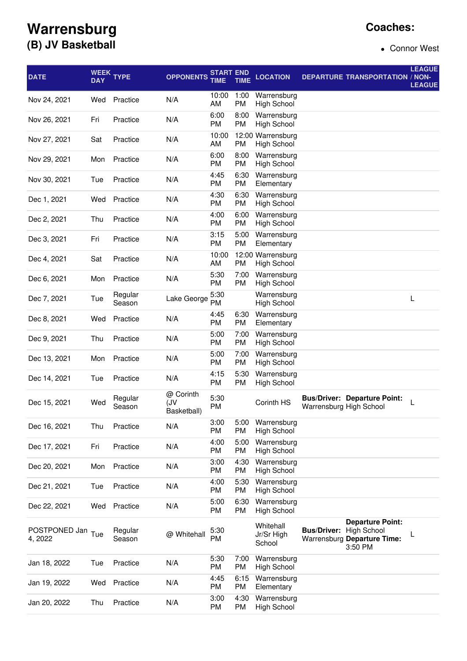## **Coaches:**

## **Warrensburg (B) JV Basketball**

• Connor West

| <b>DATE</b>              | <b>DAY</b> | WEEK TYPE         | <b>OPPONENTS</b>                | <b>START END</b><br>TIME | TIME              | <b>LOCATION</b>                         |                         | <b>DEPARTURE TRANSPORTATION / NON-</b>                                                  | <b>LEAGUE</b><br><b>LEAGUE</b> |
|--------------------------|------------|-------------------|---------------------------------|--------------------------|-------------------|-----------------------------------------|-------------------------|-----------------------------------------------------------------------------------------|--------------------------------|
| Nov 24, 2021             | Wed        | Practice          | N/A                             | 10:00<br>AM              | 1:00<br>PM        | Warrensburg<br><b>High School</b>       |                         |                                                                                         |                                |
| Nov 26, 2021             | Fri        | Practice          | N/A                             | 6:00<br>PM               | 8:00<br>PM        | Warrensburg<br><b>High School</b>       |                         |                                                                                         |                                |
| Nov 27, 2021             | Sat        | Practice          | N/A                             | 10:00<br>AM              | <b>PM</b>         | 12:00 Warrensburg<br><b>High School</b> |                         |                                                                                         |                                |
| Nov 29, 2021             | Mon        | Practice          | N/A                             | 6:00<br><b>PM</b>        | 8:00<br>PM        | Warrensburg<br><b>High School</b>       |                         |                                                                                         |                                |
| Nov 30, 2021             | Tue        | Practice          | N/A                             | 4:45<br><b>PM</b>        | 6:30<br>PM        | Warrensburg<br>Elementary               |                         |                                                                                         |                                |
| Dec 1, 2021              | Wed        | Practice          | N/A                             | 4:30<br>PM               | 6:30<br>PM        | Warrensburg<br>High School              |                         |                                                                                         |                                |
| Dec 2, 2021              | Thu        | Practice          | N/A                             | 4:00<br>PM               | 6:00<br><b>PM</b> | Warrensburg<br><b>High School</b>       |                         |                                                                                         |                                |
| Dec 3, 2021              | Fri        | Practice          | N/A                             | 3:15<br><b>PM</b>        | 5:00<br><b>PM</b> | Warrensburg<br>Elementary               |                         |                                                                                         |                                |
| Dec 4, 2021              | Sat        | Practice          | N/A                             | 10:00<br>AM              | <b>PM</b>         | 12:00 Warrensburg<br><b>High School</b> |                         |                                                                                         |                                |
| Dec 6, 2021              | Mon        | Practice          | N/A                             | 5:30<br>PM               | 7:00<br><b>PM</b> | Warrensburg<br><b>High School</b>       |                         |                                                                                         |                                |
| Dec 7, 2021              | Tue        | Regular<br>Season | Lake George                     | 5:30<br>PM               |                   | Warrensburg<br><b>High School</b>       |                         |                                                                                         | L                              |
| Dec 8, 2021              | Wed        | Practice          | N/A                             | 4:45<br>PM               | 6:30<br>PM        | Warrensburg<br>Elementary               |                         |                                                                                         |                                |
| Dec 9, 2021              | Thu        | Practice          | N/A                             | 5:00<br>PM               | 7:00<br><b>PM</b> | Warrensburg<br><b>High School</b>       |                         |                                                                                         |                                |
| Dec 13, 2021             | Mon        | Practice          | N/A                             | 5:00<br>PM               | 7:00<br><b>PM</b> | Warrensburg<br>High School              |                         |                                                                                         |                                |
| Dec 14, 2021             | Tue        | Practice          | N/A                             | 4:15<br>PM               | 5:30<br>PM        | Warrensburg<br><b>High School</b>       |                         |                                                                                         |                                |
| Dec 15, 2021             | Wed        | Regular<br>Season | @ Corinth<br>(JV<br>Basketball) | 5:30<br>PM               |                   | Corinth HS                              | Warrensburg High School | <b>Bus/Driver: Departure Point:</b>                                                     | L                              |
| Dec 16, 2021             | Thu        | Practice          | N/A                             | 3:00<br><b>PM</b>        | 5:00<br><b>PM</b> | Warrensburg<br><b>High School</b>       |                         |                                                                                         |                                |
| Dec 17, 2021             | Fri        | Practice          | N/A                             | 4:00<br>PM               | 5:00<br>PM        | Warrensburg<br><b>High School</b>       |                         |                                                                                         |                                |
| Dec 20, 2021             | Mon        | Practice          | N/A                             | 3:00<br>PM               | 4:30<br><b>PM</b> | Warrensburg<br><b>High School</b>       |                         |                                                                                         |                                |
| Dec 21, 2021             | Tue        | Practice          | N/A                             | 4:00<br>PM               | 5:30<br><b>PM</b> | Warrensburg<br><b>High School</b>       |                         |                                                                                         |                                |
| Dec 22, 2021             | Wed        | Practice          | N/A                             | 5:00<br>PM               | 6:30<br>PM        | Warrensburg<br><b>High School</b>       |                         |                                                                                         |                                |
| POSTPONED Jan<br>4, 2022 | Tue        | Regular<br>Season | @ Whitehall                     | 5:30<br>PM               |                   | Whitehall<br>Jr/Sr High<br>School       | <b>Bus/Driver:</b>      | <b>Departure Point:</b><br><b>High School</b><br>Warrensburg Departure Time:<br>3:50 PM |                                |
| Jan 18, 2022             | Tue        | Practice          | N/A                             | 5:30<br>PM               | 7:00<br><b>PM</b> | Warrensburg<br><b>High School</b>       |                         |                                                                                         |                                |
| Jan 19, 2022             | Wed        | Practice          | N/A                             | 4:45<br>PM               | 6:15<br><b>PM</b> | Warrensburg<br>Elementary               |                         |                                                                                         |                                |
| Jan 20, 2022             | Thu        | Practice          | N/A                             | 3:00<br>PM               | 4:30<br><b>PM</b> | Warrensburg<br><b>High School</b>       |                         |                                                                                         |                                |